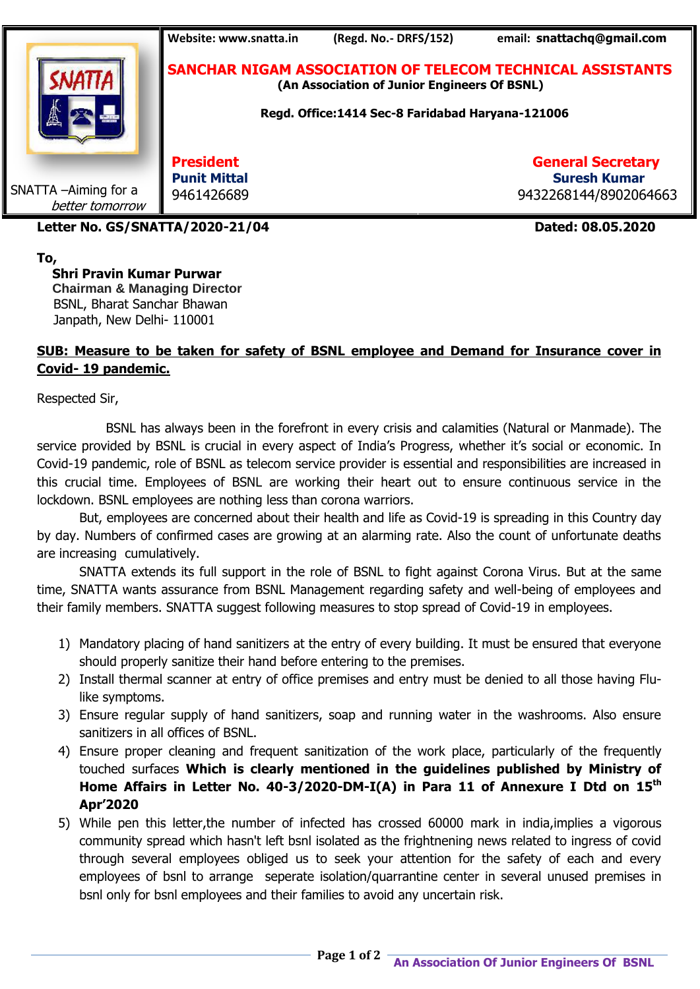

**To,**

 **Shri Pravin Kumar Purwar Chairman & Managing Director** BSNL, Bharat Sanchar Bhawan Janpath, New Delhi- 110001

## **SUB: Measure to be taken for safety of BSNL employee and Demand for Insurance cover in Covid- 19 pandemic.**

Respected Sir,

 BSNL has always been in the forefront in every crisis and calamities (Natural or Manmade). The service provided by BSNL is crucial in every aspect of India's Progress, whether it's social or economic. In Covid-19 pandemic, role of BSNL as telecom service provider is essential and responsibilities are increased in this crucial time. Employees of BSNL are working their heart out to ensure continuous service in the lockdown. BSNL employees are nothing less than corona warriors.

But, employees are concerned about their health and life as Covid-19 is spreading in this Country day by day. Numbers of confirmed cases are growing at an alarming rate. Also the count of unfortunate deaths are increasing cumulatively.

SNATTA extends its full support in the role of BSNL to fight against Corona Virus. But at the same time, SNATTA wants assurance from BSNL Management regarding safety and well-being of employees and their family members. SNATTA suggest following measures to stop spread of Covid-19 in employees.

- 1) Mandatory placing of hand sanitizers at the entry of every building. It must be ensured that everyone should properly sanitize their hand before entering to the premises.
- 2) Install thermal scanner at entry of office premises and entry must be denied to all those having Flulike symptoms.
- 3) Ensure regular supply of hand sanitizers, soap and running water in the washrooms. Also ensure sanitizers in all offices of BSNL.
- 4) Ensure proper cleaning and frequent sanitization of the work place, particularly of the frequently touched surfaces **Which is clearly mentioned in the guidelines published by Ministry of Home Affairs in Letter No. 40-3/2020-DM-I(A) in Para 11 of Annexure I Dtd on 15th Apr'2020**
- 5) While pen this letter,the number of infected has crossed 60000 mark in india,implies a vigorous community spread which hasn't left bsnl isolated as the frightnening news related to ingress of covid through several employees obliged us to seek your attention for the safety of each and every employees of bsnl to arrange seperate isolation/quarrantine center in several unused premises in bsnl only for bsnl employees and their families to avoid any uncertain risk.